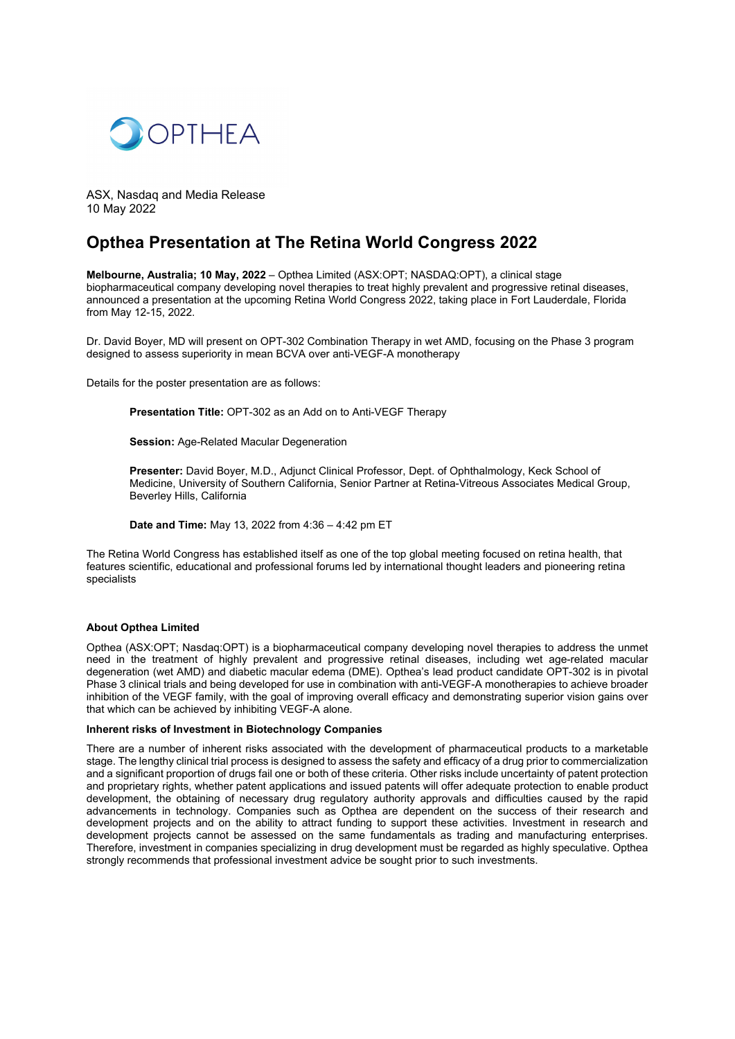

ASX, Nasdaq and Media Release 10 May 2022

# **Opthea Presentation at The Retina World Congress 2022**

**Melbourne, Australia; 10 May, 2022** – Opthea Limited (ASX:OPT; NASDAQ:OPT), a clinical stage biopharmaceutical company developing novel therapies to treat highly prevalent and progressive retinal diseases, announced a presentation at the upcoming Retina World Congress 2022, taking place in Fort Lauderdale, Florida from May 12-15, 2022.

Dr. David Boyer, MD will present on OPT-302 Combination Therapy in wet AMD, focusing on the Phase 3 program designed to assess superiority in mean BCVA over anti-VEGF-A monotherapy

Details for the poster presentation are as follows:

**Presentation Title:** OPT-302 as an Add on to Anti-VEGF Therapy

**Session: Age-Related Macular Degeneration** 

**Presenter:** David Boyer, M.D., Adjunct Clinical Professor, Dept. of Ophthalmology, Keck School of Medicine, University of Southern California, Senior Partner at Retina-Vitreous Associates Medical Group, Beverley Hills, California

**Date and Time:** May 13, 2022 from 4:36 – 4:42 pm ET

The Retina World Congress has established itself as one of the top global meeting focused on retina health, that features scientific, educational and professional forums led by international thought leaders and pioneering retina specialists

# **About Opthea Limited**

Opthea (ASX:OPT; Nasdaq:OPT) is a biopharmaceutical company developing novel therapies to address the unmet need in the treatment of highly prevalent and progressive retinal diseases, including wet age-related macular degeneration (wet AMD) and diabetic macular edema (DME). Opthea's lead product candidate OPT-302 is in pivotal Phase 3 clinical trials and being developed for use in combination with anti-VEGF-A monotherapies to achieve broader inhibition of the VEGF family, with the goal of improving overall efficacy and demonstrating superior vision gains over that which can be achieved by inhibiting VEGF-A alone.

# **Inherent risks of Investment in Biotechnology Companies**

There are a number of inherent risks associated with the development of pharmaceutical products to a marketable stage. The lengthy clinical trial process is designed to assess the safety and efficacy of a drug prior to commercialization and a significant proportion of drugs fail one or both of these criteria. Other risks include uncertainty of patent protection and proprietary rights, whether patent applications and issued patents will offer adequate protection to enable product development, the obtaining of necessary drug regulatory authority approvals and difficulties caused by the rapid advancements in technology. Companies such as Opthea are dependent on the success of their research and development projects and on the ability to attract funding to support these activities. Investment in research and development projects cannot be assessed on the same fundamentals as trading and manufacturing enterprises. Therefore, investment in companies specializing in drug development must be regarded as highly speculative. Opthea strongly recommends that professional investment advice be sought prior to such investments.